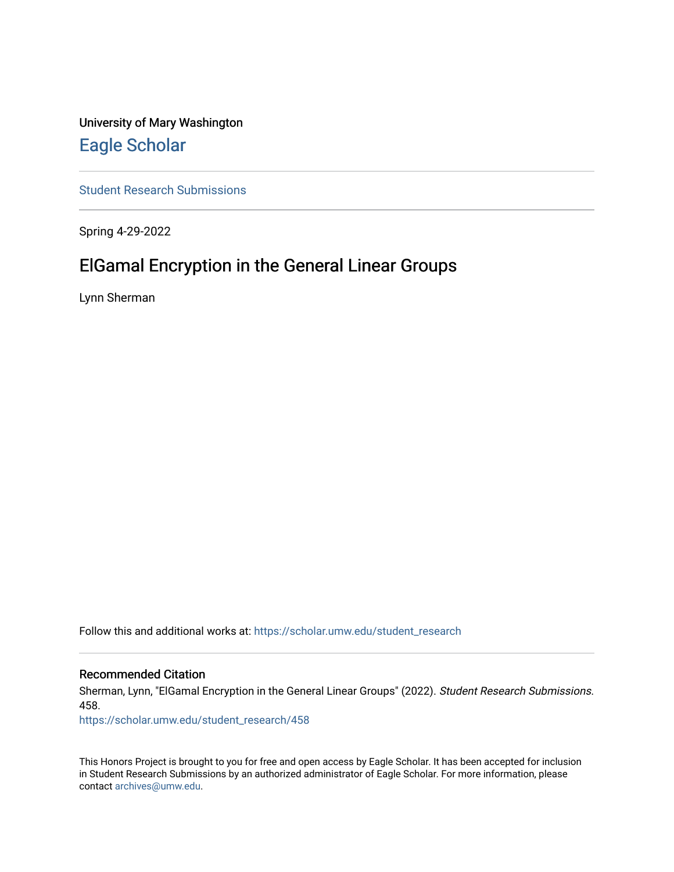University of Mary Washington [Eagle Scholar](https://scholar.umw.edu/) 

[Student Research Submissions](https://scholar.umw.edu/student_research) 

Spring 4-29-2022

# ElGamal Encryption in the General Linear Groups

Lynn Sherman

Follow this and additional works at: [https://scholar.umw.edu/student\\_research](https://scholar.umw.edu/student_research?utm_source=scholar.umw.edu%2Fstudent_research%2F458&utm_medium=PDF&utm_campaign=PDFCoverPages)

### Recommended Citation

Sherman, Lynn, "ElGamal Encryption in the General Linear Groups" (2022). Student Research Submissions. 458.

[https://scholar.umw.edu/student\\_research/458](https://scholar.umw.edu/student_research/458?utm_source=scholar.umw.edu%2Fstudent_research%2F458&utm_medium=PDF&utm_campaign=PDFCoverPages)

This Honors Project is brought to you for free and open access by Eagle Scholar. It has been accepted for inclusion in Student Research Submissions by an authorized administrator of Eagle Scholar. For more information, please contact [archives@umw.edu](mailto:archives@umw.edu).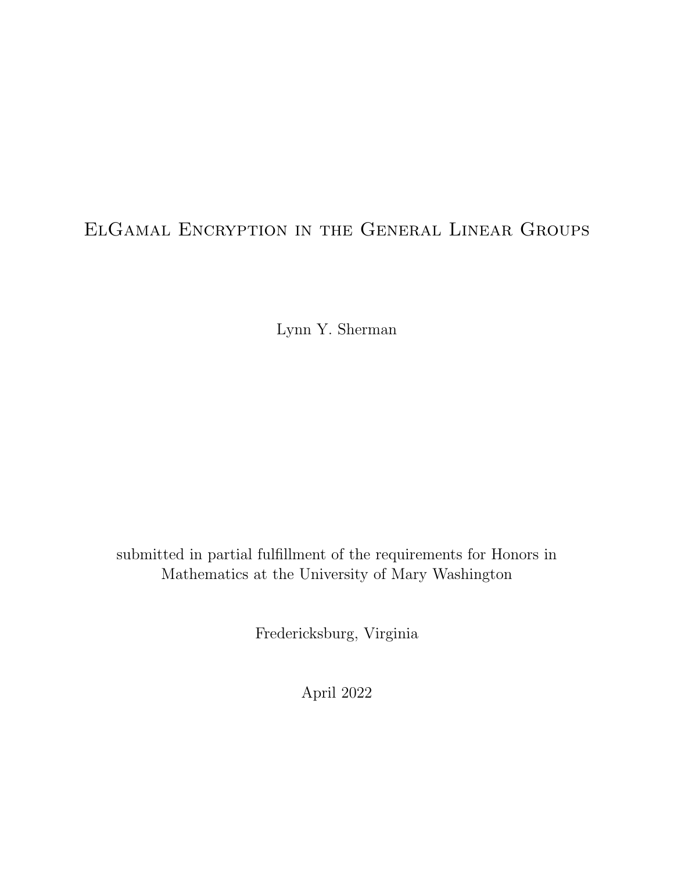# ElGamal Encryption in the General Linear Groups

Lynn Y. Sherman

submitted in partial fulfillment of the requirements for Honors in Mathematics at the University of Mary Washington

Fredericksburg, Virginia

April 2022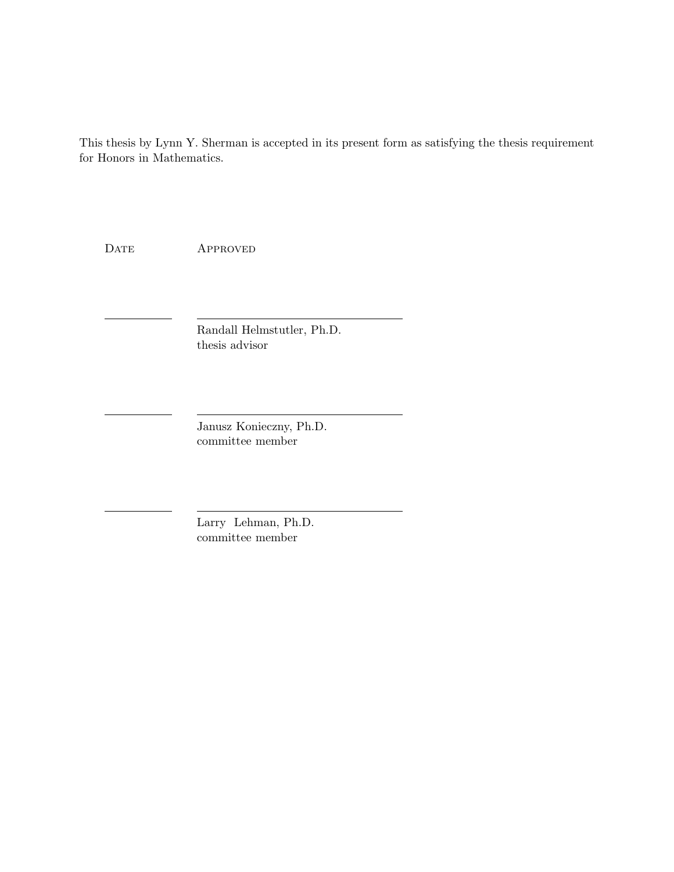This thesis by Lynn Y. Sherman is accepted in its present form as satisfying the thesis requirement for Honors in Mathematics.

DATE APPROVED

Randall Helmstutler, Ph.D. thesis advisor

Janusz Konieczny, Ph.D. committee member

Larry Lehman, Ph.D. committee member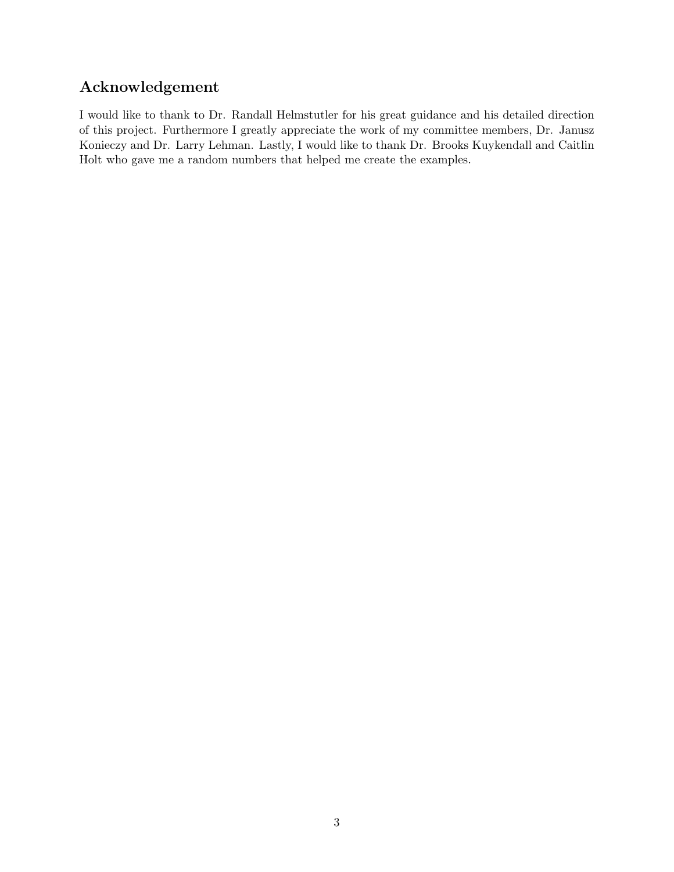# Acknowledgement

I would like to thank to Dr. Randall Helmstutler for his great guidance and his detailed direction of this project. Furthermore I greatly appreciate the work of my committee members, Dr. Janusz Konieczy and Dr. Larry Lehman. Lastly, I would like to thank Dr. Brooks Kuykendall and Caitlin Holt who gave me a random numbers that helped me create the examples.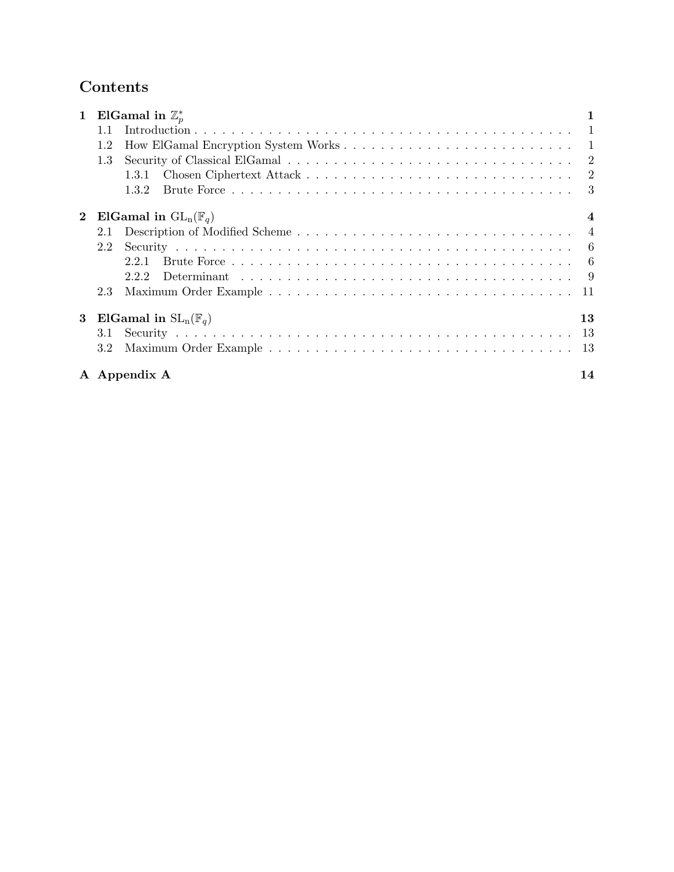## Contents

| $\mathbf 1$  |     | ElGamal in $\mathbb{Z}_n^*$     |                  |
|--------------|-----|---------------------------------|------------------|
|              | 1.1 |                                 |                  |
|              | 1.2 |                                 |                  |
|              | 1.3 |                                 |                  |
|              |     | 1.3.1                           |                  |
|              |     | 1.3.2                           | 3                |
| $\mathbf{2}$ |     | ElGamal in $GL_n(\mathbb{F}_q)$ | $\boldsymbol{4}$ |
|              | 2.1 |                                 |                  |
|              | 2.2 |                                 |                  |
|              |     | 2.2.1                           |                  |
|              |     | 222                             |                  |
|              | 2.3 |                                 | -11              |
| 3            |     | ElGamal in $SL_n(\mathbb{F}_q)$ | 13               |
|              | 3.1 |                                 |                  |
|              | 3.2 |                                 | -13              |
|              |     | A Appendix A                    | 14               |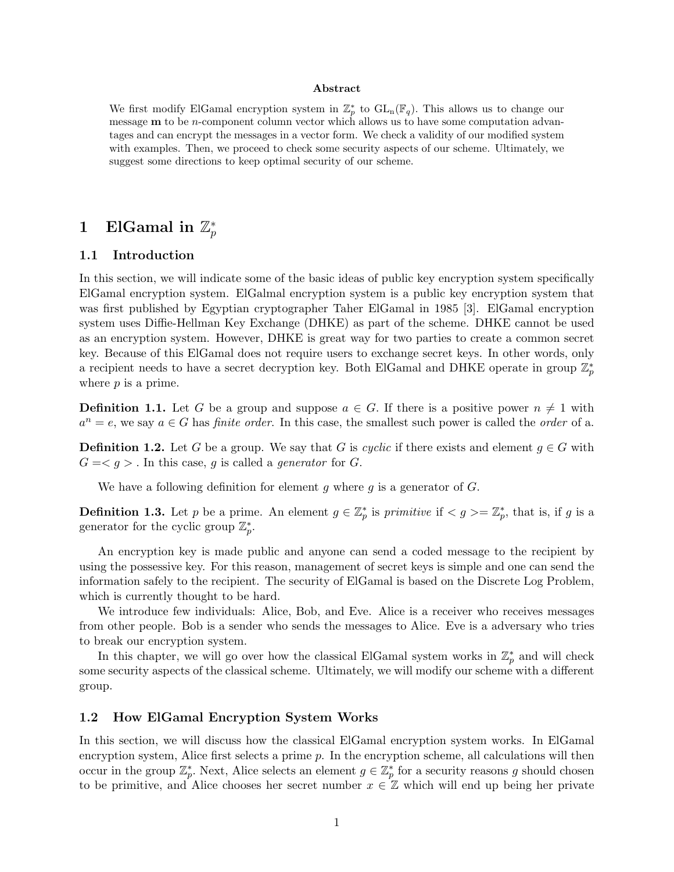### Abstract

We first modify ElGamal encryption system in  $\mathbb{Z}_p^*$  to  $GL_n(\mathbb{F}_q)$ . This allows us to change our message  **to be** *n***-component column vector which allows us to have some computation advan**tages and can encrypt the messages in a vector form. We check a validity of our modified system with examples. Then, we proceed to check some security aspects of our scheme. Ultimately, we suggest some directions to keep optimal security of our scheme.

### 1 ElGamal in  $\mathbb{Z}_p^*$ p

### 1.1 Introduction

In this section, we will indicate some of the basic ideas of public key encryption system specifically ElGamal encryption system. ElGalmal encryption system is a public key encryption system that was first published by Egyptian cryptographer Taher ElGamal in 1985 [3]. ElGamal encryption system uses Diffie-Hellman Key Exchange (DHKE) as part of the scheme. DHKE cannot be used as an encryption system. However, DHKE is great way for two parties to create a common secret key. Because of this ElGamal does not require users to exchange secret keys. In other words, only a recipient needs to have a secret decryption key. Both ElGamal and DHKE operate in group  $\mathbb{Z}_p^*$ where *p* is a prime.

**Definition 1.1.** Let G be a group and suppose  $a \in G$ . If there is a positive power  $n \neq 1$  with  $a^n = e$ , we say  $a \in G$  has *finite order*. In this case, the smallest such power is called the *order* of a.

**Definition 1.2.** Let G be a group. We say that G is cyclic if there exists and element  $g \in G$  with  $G = \langle g \rangle$ . In this case, g is called a generator for G.

We have a following definition for element g where g is a generator of  $G$ .

**Definition 1.3.** Let p be a prime. An element  $g \in \mathbb{Z}_p^*$  is primitive if  $\langle g \rangle = \mathbb{Z}_p^*$ , that is, if g is a generator for the cyclic group  $\mathbb{Z}_p^*$ .

An encryption key is made public and anyone can send a coded message to the recipient by using the possessive key. For this reason, management of secret keys is simple and one can send the information safely to the recipient. The security of ElGamal is based on the Discrete Log Problem, which is currently thought to be hard.

We introduce few individuals: Alice, Bob, and Eve. Alice is a receiver who receives messages from other people. Bob is a sender who sends the messages to Alice. Eve is a adversary who tries to break our encryption system.

In this chapter, we will go over how the classical ElGamal system works in  $\mathbb{Z}_p^*$  and will check some security aspects of the classical scheme. Ultimately, we will modify our scheme with a different group.

### 1.2 How ElGamal Encryption System Works

In this section, we will discuss how the classical ElGamal encryption system works. In ElGamal encryption system, Alice first selects a prime  $p$ . In the encryption scheme, all calculations will then occur in the group  $\mathbb{Z}_p^*$ . Next, Alice selects an element  $g \in \mathbb{Z}_p^*$  for a security reasons g should chosen to be primitive, and Alice chooses her secret number  $x \in \mathbb{Z}$  which will end up being her private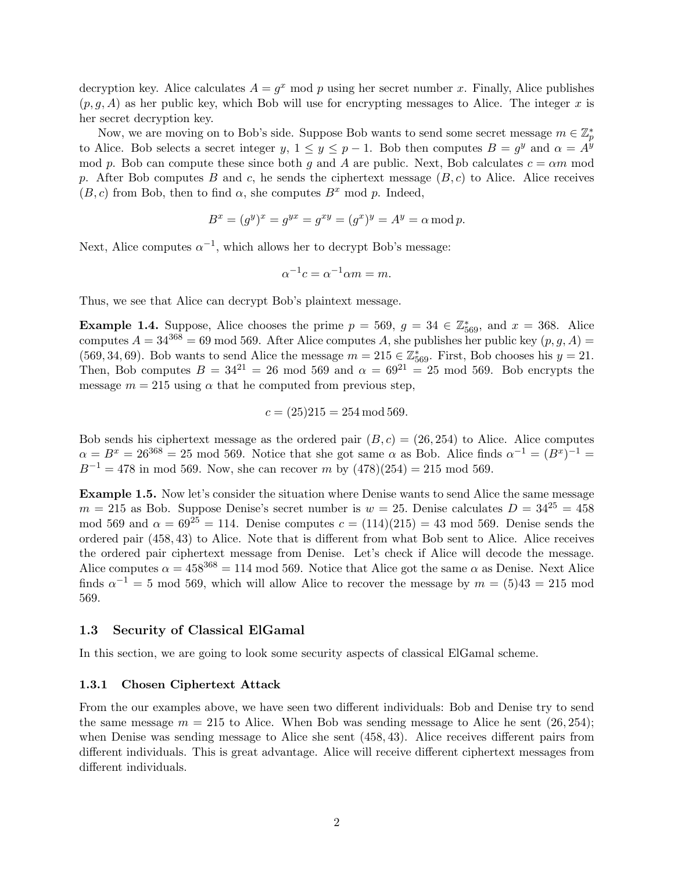decryption key. Alice calculates  $A = g^x \mod p$  using her secret number x. Finally, Alice publishes  $(p, g, A)$  as her public key, which Bob will use for encrypting messages to Alice. The integer x is her secret decryption key.

Now, we are moving on to Bob's side. Suppose Bob wants to send some secret message  $m \in \mathbb{Z}_p^*$ to Alice. Bob selects a secret integer y,  $1 \le y \le p-1$ . Bob then computes  $B = g^y$  and  $\alpha = A^y$ mod p. Bob can compute these since both g and A are public. Next, Bob calculates  $c = \alpha m$  mod p. After Bob computes B and c, he sends the ciphertext message  $(B, c)$  to Alice. Alice receives  $(B, c)$  from Bob, then to find  $\alpha$ , she computes  $B^x$  mod p. Indeed,

$$
B^x = (g^y)^x = g^{yx} = g^{xy} = (g^x)^y = A^y = \alpha \bmod p.
$$

Next, Alice computes  $\alpha^{-1}$ , which allows her to decrypt Bob's message:

$$
\alpha^{-1}c = \alpha^{-1}\alpha m = m.
$$

Thus, we see that Alice can decrypt Bob's plaintext message.

**Example 1.4.** Suppose, Alice chooses the prime  $p = 569$ ,  $g = 34 \in \mathbb{Z}_{569}^*$ , and  $x = 368$ . Alice computes  $A = 34^{368} = 69 \text{ mod } 569$ . After Alice computes A, she publishes her public key  $(p, g, A)$ (569, 34, 69). Bob wants to send Alice the message  $m = 215 \in \mathbb{Z}_{569}^*$ . First, Bob chooses his  $y = 21$ . Then, Bob computes  $B = 34^{21} = 26 \mod 569$  and  $\alpha = 69^{21} = 25 \mod 569$ . Bob encrypts the message  $m = 215$  using  $\alpha$  that he computed from previous step,

$$
c = (25)215 = 254 \,\mathrm{mod}\, 569.
$$

Bob sends his ciphertext message as the ordered pair  $(B, c) = (26, 254)$  to Alice. Alice computes  $\alpha = B^x = 26^{368} = 25 \text{ mod } 569$ . Notice that she got same  $\alpha$  as Bob. Alice finds  $\alpha^{-1} = (B^x)^{-1} =$  $B^{-1} = 478$  in mod 569. Now, she can recover m by  $(478)(254) = 215 \text{ mod } 569$ .

Example 1.5. Now let's consider the situation where Denise wants to send Alice the same message  $m = 215$  as Bob. Suppose Denise's secret number is  $w = 25$ . Denise calculates  $D = 34^{25} = 458$ mod 569 and  $\alpha = 69^{25} = 114$ . Denise computes  $c = (114)(215) = 43 \text{ mod } 569$ . Denise sends the ordered pair (458, 43) to Alice. Note that is different from what Bob sent to Alice. Alice receives the ordered pair ciphertext message from Denise. Let's check if Alice will decode the message. Alice computes  $\alpha = 458^{368} = 114 \text{ mod } 569$ . Notice that Alice got the same  $\alpha$  as Denise. Next Alice finds  $\alpha^{-1} = 5 \text{ mod } 569$ , which will allow Alice to recover the message by  $m = (5)43 = 215 \text{ mod } 569$ 569.

### 1.3 Security of Classical ElGamal

In this section, we are going to look some security aspects of classical ElGamal scheme.

### 1.3.1 Chosen Ciphertext Attack

From the our examples above, we have seen two different individuals: Bob and Denise try to send the same message  $m = 215$  to Alice. When Bob was sending message to Alice he sent  $(26, 254)$ ; when Denise was sending message to Alice she sent (458, 43). Alice receives different pairs from different individuals. This is great advantage. Alice will receive different ciphertext messages from different individuals.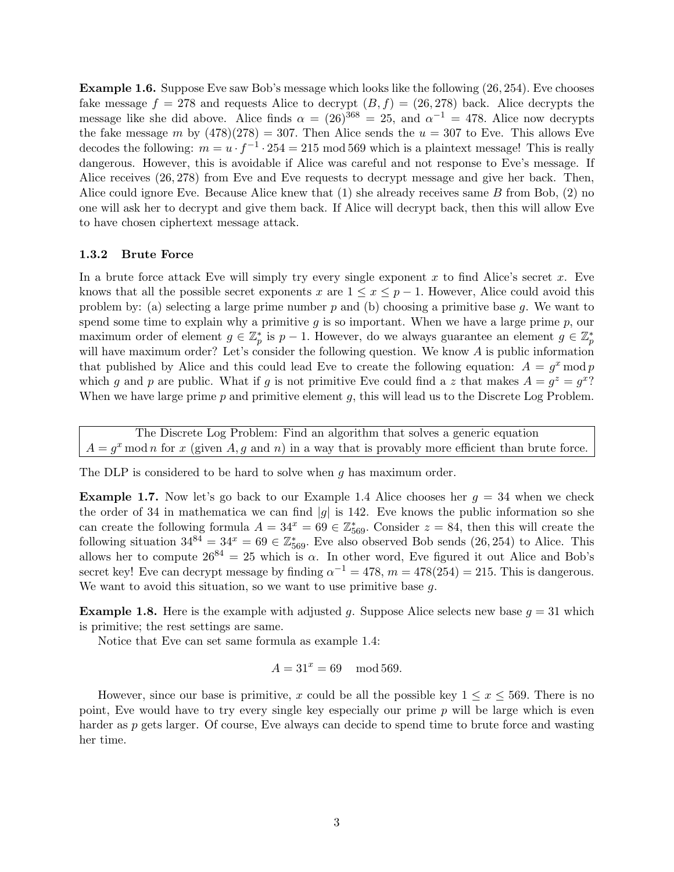Example 1.6. Suppose Eve saw Bob's message which looks like the following (26, 254). Eve chooses fake message  $f = 278$  and requests Alice to decrypt  $(B, f) = (26, 278)$  back. Alice decrypts the message like she did above. Alice finds  $\alpha = (26)^{368} = 25$ , and  $\alpha^{-1} = 478$ . Alice now decrypts the fake message m by  $(478)(278) = 307$ . Then Alice sends the  $u = 307$  to Eve. This allows Eve decodes the following:  $m = u \cdot f^{-1} \cdot 254 = 215 \mod 569$  which is a plaintext message! This is really dangerous. However, this is avoidable if Alice was careful and not response to Eve's message. If Alice receives (26, 278) from Eve and Eve requests to decrypt message and give her back. Then, Alice could ignore Eve. Because Alice knew that  $(1)$  she already receives same B from Bob,  $(2)$  no one will ask her to decrypt and give them back. If Alice will decrypt back, then this will allow Eve to have chosen ciphertext message attack.

### 1.3.2 Brute Force

In a brute force attack Eve will simply try every single exponent x to find Alice's secret x. Eve knows that all the possible secret exponents x are  $1 \leq x \leq p-1$ . However, Alice could avoid this problem by: (a) selecting a large prime number  $p$  and (b) choosing a primitive base  $q$ . We want to spend some time to explain why a primitive  $g$  is so important. When we have a large prime  $p$ , our maximum order of element  $g \in \mathbb{Z}_p^*$  is  $p-1$ . However, do we always guarantee an element  $g \in \mathbb{Z}_p^*$ will have maximum order? Let's consider the following question. We know A is public information that published by Alice and this could lead Eve to create the following equation:  $A = g^x \mod p$ which g and p are public. What if g is not primitive Eve could find a z that makes  $A = g^z = g^{x}$ ? When we have large prime  $p$  and primitive element  $q$ , this will lead us to the Discrete Log Problem.

The Discrete Log Problem: Find an algorithm that solves a generic equation  $A = g^x \mod n$  for x (given A, g and n) in a way that is provably more efficient than brute force.

The DLP is considered to be hard to solve when g has maximum order.

**Example 1.7.** Now let's go back to our Example 1.4 Alice chooses her  $g = 34$  when we check the order of 34 in mathematica we can find |g| is 142. Eve knows the public information so she can create the following formula  $A = 34^x = 69 \in \mathbb{Z}_{569}^*$ . Consider  $z = 84$ , then this will create the following situation  $34^{84} = 34^x = 69 \in \mathbb{Z}_{569}^*$ . Eve also observed Bob sends (26, 254) to Alice. This allows her to compute  $26^{84} = 25$  which is  $\alpha$ . In other word, Eve figured it out Alice and Bob's secret key! Eve can decrypt message by finding  $\alpha^{-1} = 478$ ,  $m = 478(254) = 215$ . This is dangerous. We want to avoid this situation, so we want to use primitive base g.

**Example 1.8.** Here is the example with adjusted g. Suppose Alice selects new base  $g = 31$  which is primitive; the rest settings are same.

Notice that Eve can set same formula as example 1.4:

$$
A = 31^x = 69 \mod 569.
$$

However, since our base is primitive, x could be all the possible key  $1 \leq x \leq 569$ . There is no point, Eve would have to try every single key especially our prime p will be large which is even harder as p gets larger. Of course, Eve always can decide to spend time to brute force and wasting her time.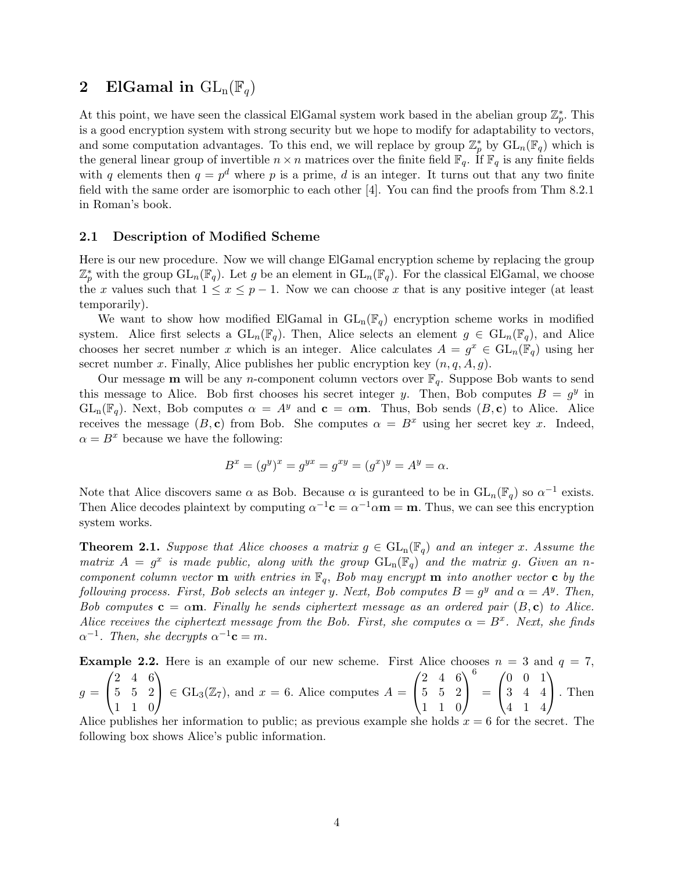### 2 ElGamal in  $\text{GL}_{n}(\mathbb{F}_{q})$

At this point, we have seen the classical ElGamal system work based in the abelian group  $\mathbb{Z}_p^*$ . This is a good encryption system with strong security but we hope to modify for adaptability to vectors, and some computation advantages. To this end, we will replace by group  $\mathbb{Z}_p^*$  by  $GL_n(\mathbb{F}_q)$  which is the general linear group of invertible  $n \times n$  matrices over the finite field  $\mathbb{F}_q$ . If  $\mathbb{F}_q$  is any finite fields with q elements then  $q = p^d$  where p is a prime, d is an integer. It turns out that any two finite field with the same order are isomorphic to each other [4]. You can find the proofs from Thm 8.2.1 in Roman's book.

### 2.1 Description of Modified Scheme

Here is our new procedure. Now we will change ElGamal encryption scheme by replacing the group  $\mathbb{Z}_p^*$  with the group  $GL_n(\mathbb{F}_q)$ . Let g be an element in  $GL_n(\mathbb{F}_q)$ . For the classical ElGamal, we choose the x values such that  $1 \le x \le p-1$ . Now we can choose x that is any positive integer (at least temporarily).

We want to show how modified ElGamal in  $GL_n(\mathbb{F}_q)$  encryption scheme works in modified system. Alice first selects a  $GL_n(\mathbb{F}_q)$ . Then, Alice selects an element  $g \in GL_n(\mathbb{F}_q)$ , and Alice chooses her secret number x which is an integer. Alice calculates  $A = g^x \in GL_n(\mathbb{F}_q)$  using her secret number x. Finally, Alice publishes her public encryption key  $(n, q, A, g)$ .

Our message **m** will be any *n*-component column vectors over  $\mathbb{F}_q$ . Suppose Bob wants to send this message to Alice. Bob first chooses his secret integer y. Then, Bob computes  $B = g<sup>y</sup>$  in  $GL_n(\mathbb{F}_q)$ . Next, Bob computes  $\alpha = A^y$  and  $\mathbf{c} = \alpha \mathbf{m}$ . Thus, Bob sends  $(B, \mathbf{c})$  to Alice. Alice receives the message  $(B, c)$  from Bob. She computes  $\alpha = B^x$  using her secret key x. Indeed,  $\alpha = B^x$  because we have the following:

$$
B^x = (g^y)^x = g^{yx} = g^{xy} = (g^x)^y = A^y = \alpha.
$$

Note that Alice discovers same  $\alpha$  as Bob. Because  $\alpha$  is guranteed to be in  $GL_n(\mathbb{F}_q)$  so  $\alpha^{-1}$  exists. Then Alice decodes plaintext by computing  $\alpha^{-1}c = \alpha^{-1}\alpha m = m$ . Thus, we can see this encryption system works.

**Theorem 2.1.** Suppose that Alice chooses a matrix  $g \in GL_n(\mathbb{F}_q)$  and an integer x. Assume the matrix  $A = g^x$  is made public, along with the group  $GL_n(\mathbb{F}_q)$  and the matrix g. Given an ncomponent column vector **m** with entries in  $\mathbb{F}_q$ , Bob may encrypt **m** into another vector **c** by the following process. First, Bob selects an integer y. Next, Bob computes  $B = g^y$  and  $\alpha = A^y$ . Then, Bob computes  $c = \alpha m$ . Finally he sends ciphertext message as an ordered pair  $(B, c)$  to Alice. Alice receives the ciphertext message from the Bob. First, she computes  $\alpha = B^x$ . Next, she finds  $\alpha^{-1}$ . Then, she decrypts  $\alpha^{-1}c = m$ .

**Example 2.2.** Here is an example of our new scheme. First Alice chooses  $n = 3$  and  $q = 7$ ,  $g =$  $\sqrt{ }$  $\mathcal{L}$ 2 4 6 5 5 2 1 1 0  $\setminus$  $\Big\} \in GL_3(\mathbb{Z}_7)$ , and  $x = 6$ . Alice computes  $A =$  $\sqrt{ }$  $\mathcal{L}$ 2 4 6 5 5 2 1 1 0  $\setminus$  $\overline{1}$ 6 =  $\sqrt{ }$  $\mathcal{L}$ 0 0 1 3 4 4 4 1 4  $\setminus$ . Then

Alice publishes her information to public; as previous example she holds  $x = 6$  for the secret. The following box shows Alice's public information.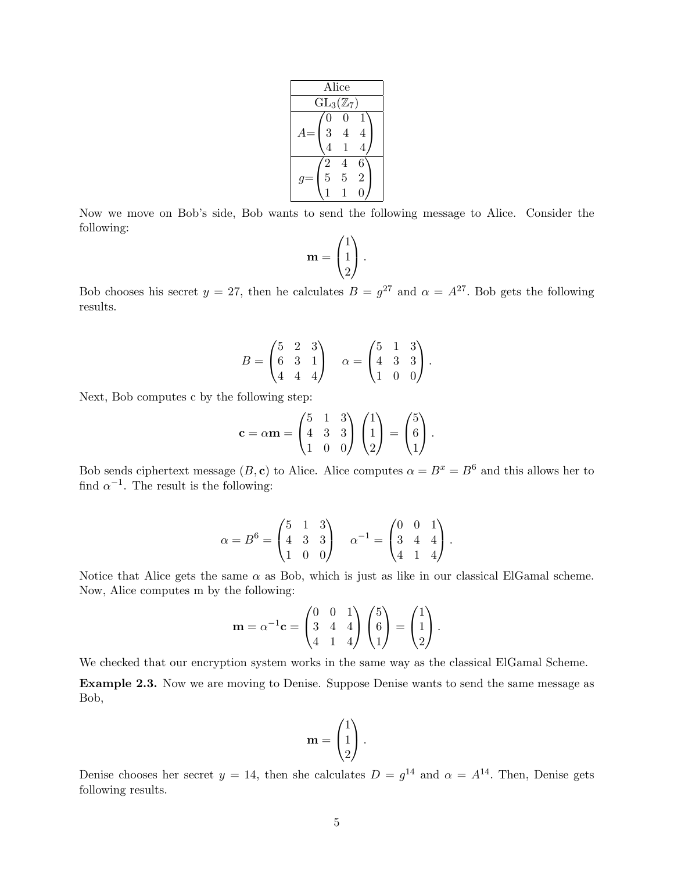| Alice                         |   |                |  |  |  |  |
|-------------------------------|---|----------------|--|--|--|--|
| $\mathrm{GL}_3(\mathbb{Z}_7)$ |   |                |  |  |  |  |
| 0                             | 0 |                |  |  |  |  |
| $\overline{3}$                | 4 | 4              |  |  |  |  |
| 4                             |   | 4              |  |  |  |  |
| $\overline{2}$                | 4 | 6              |  |  |  |  |
| $\overline{5}$                | 5 | $\overline{2}$ |  |  |  |  |
|                               |   |                |  |  |  |  |

Now we move on Bob's side, Bob wants to send the following message to Alice. Consider the following:

$$
\mathbf{m} = \begin{pmatrix} 1 \\ 1 \\ 2 \end{pmatrix}.
$$

Bob chooses his secret  $y = 27$ , then he calculates  $B = g^{27}$  and  $\alpha = A^{27}$ . Bob gets the following results.

$$
B = \begin{pmatrix} 5 & 2 & 3 \\ 6 & 3 & 1 \\ 4 & 4 & 4 \end{pmatrix} \quad \alpha = \begin{pmatrix} 5 & 1 & 3 \\ 4 & 3 & 3 \\ 1 & 0 & 0 \end{pmatrix}.
$$

Next, Bob computes c by the following step:

$$
\mathbf{c} = \alpha \mathbf{m} = \begin{pmatrix} 5 & 1 & 3 \\ 4 & 3 & 3 \\ 1 & 0 & 0 \end{pmatrix} \begin{pmatrix} 1 \\ 1 \\ 2 \end{pmatrix} = \begin{pmatrix} 5 \\ 6 \\ 1 \end{pmatrix}.
$$

Bob sends ciphertext message (B, c) to Alice. Alice computes  $\alpha = B^x = B^6$  and this allows her to find  $\alpha^{-1}$ . The result is the following:

$$
\alpha = B^6 = \begin{pmatrix} 5 & 1 & 3 \\ 4 & 3 & 3 \\ 1 & 0 & 0 \end{pmatrix} \quad \alpha^{-1} = \begin{pmatrix} 0 & 0 & 1 \\ 3 & 4 & 4 \\ 4 & 1 & 4 \end{pmatrix}.
$$

Notice that Alice gets the same  $\alpha$  as Bob, which is just as like in our classical ElGamal scheme. Now, Alice computes m by the following:

$$
\mathbf{m} = \alpha^{-1} \mathbf{c} = \begin{pmatrix} 0 & 0 & 1 \\ 3 & 4 & 4 \\ 4 & 1 & 4 \end{pmatrix} \begin{pmatrix} 5 \\ 6 \\ 1 \end{pmatrix} = \begin{pmatrix} 1 \\ 1 \\ 2 \end{pmatrix}.
$$

We checked that our encryption system works in the same way as the classical ElGamal Scheme.

Example 2.3. Now we are moving to Denise. Suppose Denise wants to send the same message as Bob,

$$
\mathbf{m} = \begin{pmatrix} 1 \\ 1 \\ 2 \end{pmatrix}.
$$

Denise chooses her secret  $y = 14$ , then she calculates  $D = g^{14}$  and  $\alpha = A^{14}$ . Then, Denise gets following results.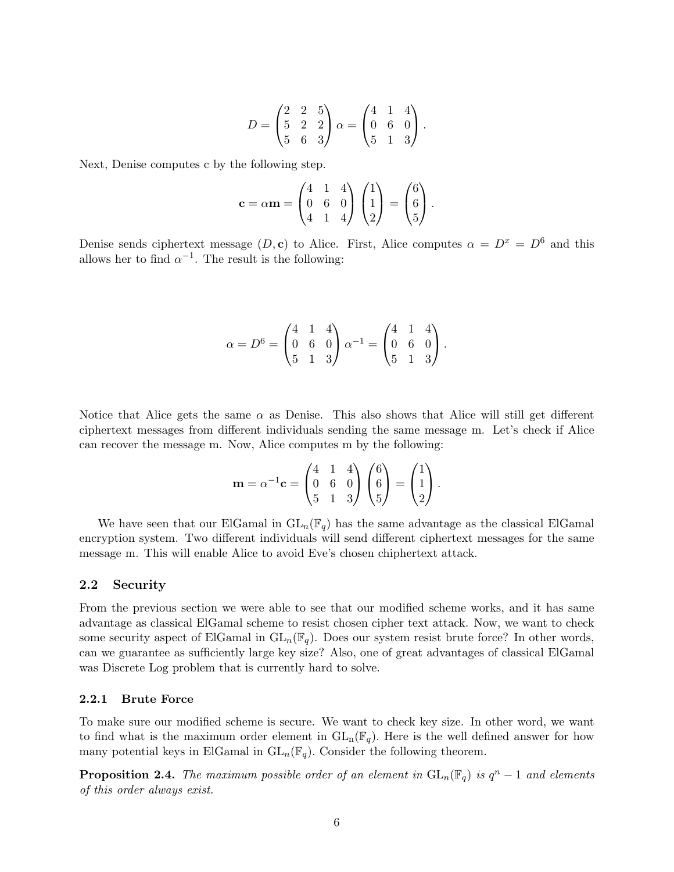$$
D = \begin{pmatrix} 2 & 2 & 5 \\ 5 & 2 & 2 \\ 5 & 6 & 3 \end{pmatrix} \alpha = \begin{pmatrix} 4 & 1 & 4 \\ 0 & 6 & 0 \\ 5 & 1 & 3 \end{pmatrix}.
$$

Next, Denise computes c by the following step.

$$
\mathbf{c} = \alpha \mathbf{m} = \begin{pmatrix} 4 & 1 & 4 \\ 0 & 6 & 0 \\ 4 & 1 & 4 \end{pmatrix} \begin{pmatrix} 1 \\ 1 \\ 2 \end{pmatrix} = \begin{pmatrix} 6 \\ 6 \\ 5 \end{pmatrix}.
$$

Denise sends ciphertext message  $(D, c)$  to Alice. First, Alice computes  $\alpha = D^x = D^6$  and this allows her to find  $\alpha^{-1}$ . The result is the following:

$$
\alpha = D^6 = \begin{pmatrix} 4 & 1 & 4 \\ 0 & 6 & 0 \\ 5 & 1 & 3 \end{pmatrix} \alpha^{-1} = \begin{pmatrix} 4 & 1 & 4 \\ 0 & 6 & 0 \\ 5 & 1 & 3 \end{pmatrix}.
$$

Notice that Alice gets the same  $\alpha$  as Denise. This also shows that Alice will still get different ciphertext messages from different individuals sending the same message m. Let's check if Alice can recover the message m. Now, Alice computes m by the following:

$$
\mathbf{m} = \alpha^{-1} \mathbf{c} = \begin{pmatrix} 4 & 1 & 4 \\ 0 & 6 & 0 \\ 5 & 1 & 3 \end{pmatrix} \begin{pmatrix} 6 \\ 6 \\ 5 \end{pmatrix} = \begin{pmatrix} 1 \\ 1 \\ 2 \end{pmatrix}.
$$

We have seen that our ElGamal in  $GL_n(\mathbb{F}_q)$  has the same advantage as the classical ElGamal encryption system. Two different individuals will send different ciphertext messages for the same message m. This will enable Alice to avoid Eve's chosen chiphertext attack.

### 2.2 Security

From the previous section we were able to see that our modified scheme works, and it has same advantage as classical ElGamal scheme to resist chosen cipher text attack. Now, we want to check some security aspect of ElGamal in  $GL_n(\mathbb{F}_q)$ . Does our system resist brute force? In other words, can we guarantee as sufficiently large key size? Also, one of great advantages of classical ElGamal was Discrete Log problem that is currently hard to solve.

### 2.2.1 Brute Force

To make sure our modified scheme is secure. We want to check key size. In other word, we want to find what is the maximum order element in  $GL_n(\mathbb{F}_q)$ . Here is the well defined answer for how many potential keys in ElGamal in  $GL_n(\mathbb{F}_q)$ . Consider the following theorem.

**Proposition 2.4.** The maximum possible order of an element in  $GL_n(\mathbb{F}_q)$  is  $q^n-1$  and elements of this order always exist.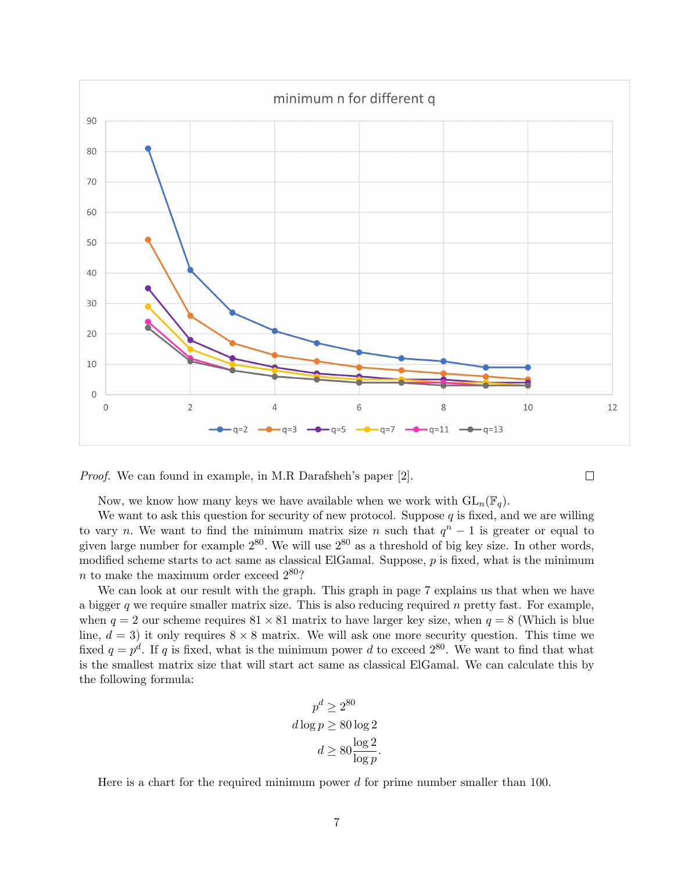

Proof. We can found in example, in M.R Darafsheh's paper [2].

 $\Box$ 

Now, we know how many keys we have available when we work with  $GL_n(\mathbb{F}_q)$ .

We want to ask this question for security of new protocol. Suppose  $q$  is fixed, and we are willing to vary n. We want to find the minimum matrix size n such that  $q<sup>n</sup> - 1$  is greater or equal to given large number for example  $2^{80}$ . We will use  $2^{80}$  as a threshold of big key size. In other words, modified scheme starts to act same as classical ElGamal. Suppose, p is fixed, what is the minimum  $n$  to make the maximum order exceed  $2^{80}$ ?

We can look at our result with the graph. This graph in page 7 explains us that when we have a bigger  $q$  we require smaller matrix size. This is also reducing required  $n$  pretty fast. For example, when  $q = 2$  our scheme requires  $81 \times 81$  matrix to have larger key size, when  $q = 8$  (Which is blue line,  $d = 3$ ) it only requires  $8 \times 8$  matrix. We will ask one more security question. This time we fixed  $q = p^d$ . If q is fixed, what is the minimum power d to exceed  $2^{80}$ . We want to find that what is the smallest matrix size that will start act same as classical ElGamal. We can calculate this by the following formula:

$$
p^d \ge 2^{80}
$$
  

$$
d \log p \ge 80 \log 2
$$
  

$$
d \ge 80 \frac{\log 2}{\log p}.
$$

Here is a chart for the required minimum power  $d$  for prime number smaller than 100.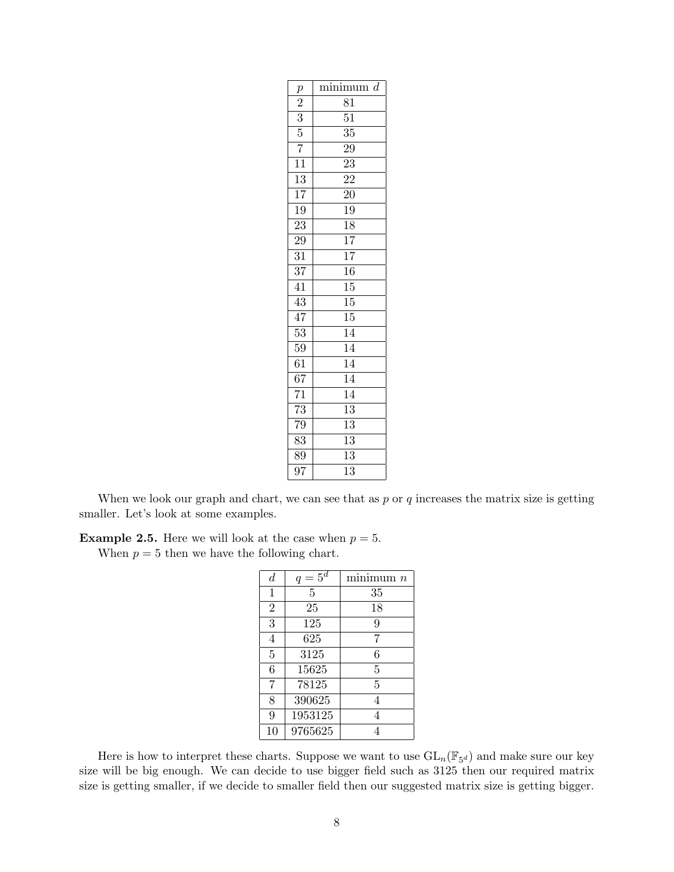| $\boldsymbol{p}$ | minimum d       |
|------------------|-----------------|
|                  | 81              |
| $\frac{2}{3}$    | $5\overline{1}$ |
|                  | $\overline{35}$ |
| $\overline{7}$   | 29              |
| $\overline{11}$  | $\overline{23}$ |
| $\overline{13}$  | $\overline{22}$ |
| $\overline{17}$  | $\overline{20}$ |
| $\overline{19}$  | $\overline{19}$ |
| 23               | $\overline{18}$ |
| $\overline{29}$  | $\overline{17}$ |
| $\overline{31}$  | $\overline{17}$ |
| $\overline{37}$  | $\overline{16}$ |
| 41               | $\overline{15}$ |
| 43               | $\overline{15}$ |
| $\overline{47}$  | $\overline{15}$ |
| $\overline{53}$  | $\overline{14}$ |
| 59               | $\overline{14}$ |
| 61               | $\overline{14}$ |
| $\overline{67}$  | $\overline{14}$ |
| $\overline{71}$  | $\overline{14}$ |
| $\overline{73}$  | $\overline{13}$ |
| $\overline{79}$  | $\overline{13}$ |
| $\overline{83}$  | $\overline{13}$ |
| 89               | $\overline{1}3$ |
| $\overline{97}$  | $\overline{13}$ |

When we look our graph and chart, we can see that as  $p$  or  $q$  increases the matrix size is getting smaller. Let's look at some examples.

**Example 2.5.** Here we will look at the case when  $p = 5$ .

When  $p = 5$  then we have the following chart.

| $\boldsymbol{d}$ | $q=5^d$ | minimum n      |
|------------------|---------|----------------|
| $\mathbf{1}$     | 5       | 35             |
| $\overline{2}$   | 25      | 18             |
| 3                | 125     | 9              |
| $\overline{4}$   | 625     | 7              |
| 5                | 3125    | 6              |
| 6                | 15625   | 5              |
| 7                | 78125   | $\overline{5}$ |
| 8                | 390625  | 4              |
| 9                | 1953125 | 4              |
| 10               | 9765625 | 4              |

Here is how to interpret these charts. Suppose we want to use  $GL_n(\mathbb{F}_{5^d})$  and make sure our key size will be big enough. We can decide to use bigger field such as 3125 then our required matrix size is getting smaller, if we decide to smaller field then our suggested matrix size is getting bigger.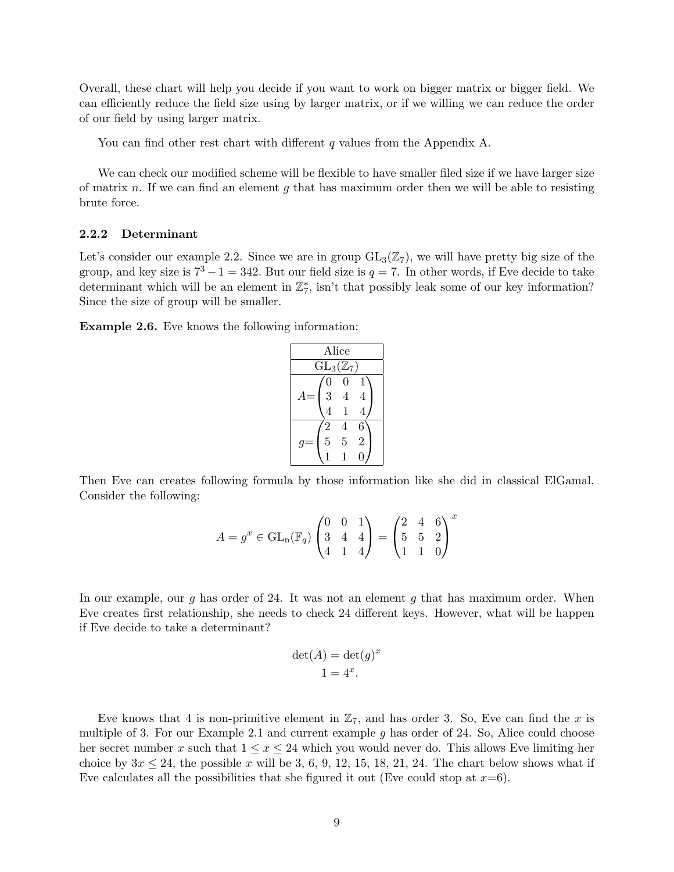Overall, these chart will help you decide if you want to work on bigger matrix or bigger field. We can efficiently reduce the field size using by larger matrix, or if we willing we can reduce the order of our field by using larger matrix.

You can find other rest chart with different  $q$  values from the Appendix A.

We can check our modified scheme will be flexible to have smaller filed size if we have larger size of matrix n. If we can find an element g that has maximum order then we will be able to resisting brute force.

### 2.2.2 Determinant

Let's consider our example 2.2. Since we are in group  $GL_3(\mathbb{Z}_7)$ , we will have pretty big size of the group, and key size is  $7^3 - 1 = 342$ . But our field size is  $q = 7$ . In other words, if Eve decide to take determinant which will be an element in  $\mathbb{Z}_7^*$ , isn't that possibly leak some of our key information? Since the size of group will be smaller.

Example 2.6. Eve knows the following information:

| Alice          |                               |                |  |  |  |  |  |  |
|----------------|-------------------------------|----------------|--|--|--|--|--|--|
|                | $\mathrm{GL}_3(\mathbb{Z}_7)$ |                |  |  |  |  |  |  |
| $\overline{0}$ | 0                             |                |  |  |  |  |  |  |
| $\overline{3}$ | 4                             | 4              |  |  |  |  |  |  |
| 4              |                               | 4              |  |  |  |  |  |  |
| $\overline{2}$ |                               | 6              |  |  |  |  |  |  |
| $\overline{5}$ | $\bf 5$                       | $\overline{2}$ |  |  |  |  |  |  |
|                |                               |                |  |  |  |  |  |  |

Then Eve can creates following formula by those information like she did in classical ElGamal. Consider the following:

$$
A = g^x \in \mathrm{GL}_n(\mathbb{F}_q) \begin{pmatrix} 0 & 0 & 1 \\ 3 & 4 & 4 \\ 4 & 1 & 4 \end{pmatrix} = \begin{pmatrix} 2 & 4 & 6 \\ 5 & 5 & 2 \\ 1 & 1 & 0 \end{pmatrix}^x
$$

In our example, our g has order of 24. It was not an element g that has maximum order. When Eve creates first relationship, she needs to check 24 different keys. However, what will be happen if Eve decide to take a determinant?

$$
\det(A) = \det(g)^x
$$
  

$$
1 = 4^x.
$$

Eve knows that 4 is non-primitive element in  $\mathbb{Z}_7$ , and has order 3. So, Eve can find the x is multiple of 3. For our Example 2.1 and current example  $g$  has order of 24. So, Alice could choose her secret number x such that  $1 \leq x \leq 24$  which you would never do. This allows Eve limiting her choice by  $3x \leq 24$ , the possible x will be 3, 6, 9, 12, 15, 18, 21, 24. The chart below shows what if Eve calculates all the possibilities that she figured it out (Eve could stop at  $x=6$ ).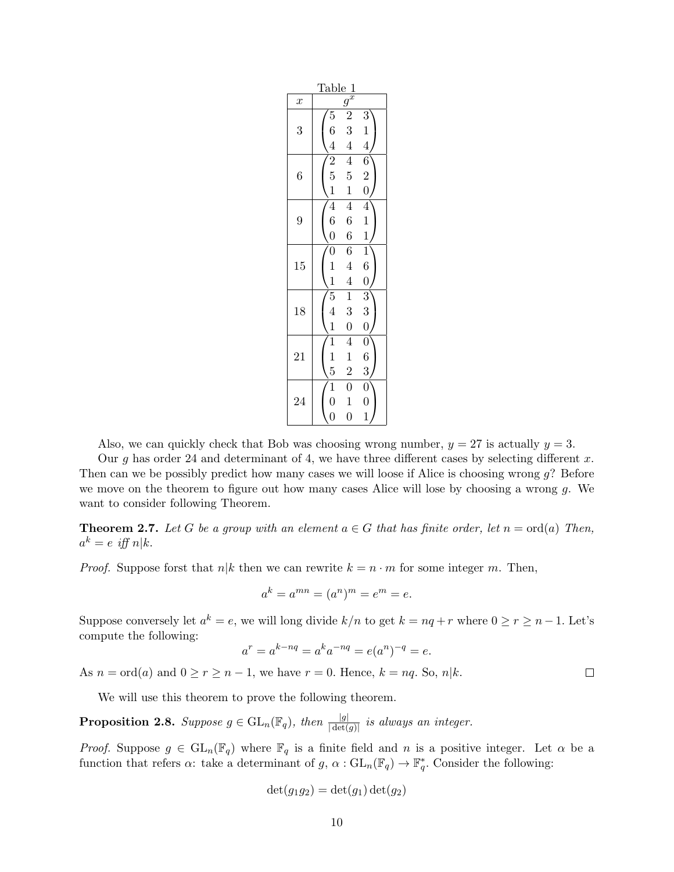| Table 1          |                                      |                         |                                               |  |  |  |  |  |  |
|------------------|--------------------------------------|-------------------------|-----------------------------------------------|--|--|--|--|--|--|
| $\boldsymbol{x}$ |                                      | $g^{\vec{x}}$           |                                               |  |  |  |  |  |  |
|                  | $\overline{5}$                       | $\overline{\mathbf{c}}$ | 3                                             |  |  |  |  |  |  |
| 3                | 6                                    | 3                       | $\mathbf{1}$                                  |  |  |  |  |  |  |
|                  | $\overline{4}$                       | $\overline{4}$          | $\overline{4}$                                |  |  |  |  |  |  |
|                  | $\overline{2}$                       | $\overline{4}$          | $\overline{6}$                                |  |  |  |  |  |  |
| 6                | $\overline{5}$                       | $\overline{5}$          | $\overline{2}$                                |  |  |  |  |  |  |
|                  | $\mathbf{1}$                         | $\mathbf{1}$            | $\overline{0}$                                |  |  |  |  |  |  |
|                  | $\overline{4}$                       | $\overline{4}$          | $\overline{4}$                                |  |  |  |  |  |  |
| 9                | $\overline{6}$                       | 6                       | $\mathbf{1}$                                  |  |  |  |  |  |  |
|                  | $\overline{0}$                       | $\sqrt{6}$              | $\mathbf{1}$                                  |  |  |  |  |  |  |
|                  | $\overline{0}$                       | $\overline{6}$          | $\overline{1}$                                |  |  |  |  |  |  |
| 15               | $\frac{1}{1}$                        | $\overline{4}$          | $\begin{matrix} 6 \\ 0 \end{matrix}$          |  |  |  |  |  |  |
|                  |                                      | $\overline{4}$          |                                               |  |  |  |  |  |  |
|                  | $\overline{5}$                       | $\overline{1}$          | $\overline{3}$                                |  |  |  |  |  |  |
| 18               | $\overline{4}$                       | 3                       | $\begin{smallmatrix} 3 \ 0 \end{smallmatrix}$ |  |  |  |  |  |  |
|                  | $\overline{1}$                       | $\overline{0}$          |                                               |  |  |  |  |  |  |
|                  | $\mathbf 1$                          | $\overline{4}$          | $\overline{0}$                                |  |  |  |  |  |  |
| 21               | $\frac{1}{5}$                        | $\mathbf{1}$            | 6                                             |  |  |  |  |  |  |
|                  |                                      | $\overline{c}$          | $\overline{3}$                                |  |  |  |  |  |  |
|                  | $\overline{1}$                       | $\overline{0}$          | $\overline{0}$                                |  |  |  |  |  |  |
| 24               | $\begin{matrix} 0 \\ 0 \end{matrix}$ | $\mathbf{1}$            | $\overline{0}$                                |  |  |  |  |  |  |
|                  |                                      | $\overline{0}$          | $\mathbf{1}$                                  |  |  |  |  |  |  |

Also, we can quickly check that Bob was choosing wrong number,  $y = 27$  is actually  $y = 3$ .

Our g has order 24 and determinant of 4, we have three different cases by selecting different  $x$ . Then can we be possibly predict how many cases we will loose if Alice is choosing wrong g? Before we move on the theorem to figure out how many cases Alice will lose by choosing a wrong  $g$ . We want to consider following Theorem.

**Theorem 2.7.** Let G be a group with an element  $a \in G$  that has finite order, let  $n = \text{ord}(a)$  Then,  $a^k = e$  iff  $n|k$ .

*Proof.* Suppose forst that  $n|k|$  then we can rewrite  $k = n \cdot m$  for some integer m. Then,

$$
a^k = a^{mn} = (a^n)^m = e^m = e.
$$

Suppose conversely let  $a^k = e$ , we will long divide  $k/n$  to get  $k = nq + r$  where  $0 \ge r \ge n - 1$ . Let's compute the following:

$$
a^r = a^{k-nq} = a^k a^{-nq} = e(a^n)^{-q} = e.
$$

As  $n = \text{ord}(a)$  and  $0 \ge r \ge n - 1$ , we have  $r = 0$ . Hence,  $k = nq$ . So,  $n|k$ .

We will use this theorem to prove the following theorem.

**Proposition 2.8.** Suppose  $g \in GL_n(\mathbb{F}_q)$ , then  $\frac{|g|}{|\det(g)|}$  is always an integer.

*Proof.* Suppose  $g \in GL_n(\mathbb{F}_q)$  where  $\mathbb{F}_q$  is a finite field and n is a positive integer. Let  $\alpha$  be a function that refers  $\alpha$ : take a determinant of  $g, \alpha : GL_n(\mathbb{F}_q) \to \mathbb{F}_q^*$ . Consider the following:

$$
\det(g_1g_2) = \det(g_1)\det(g_2)
$$

 $\Box$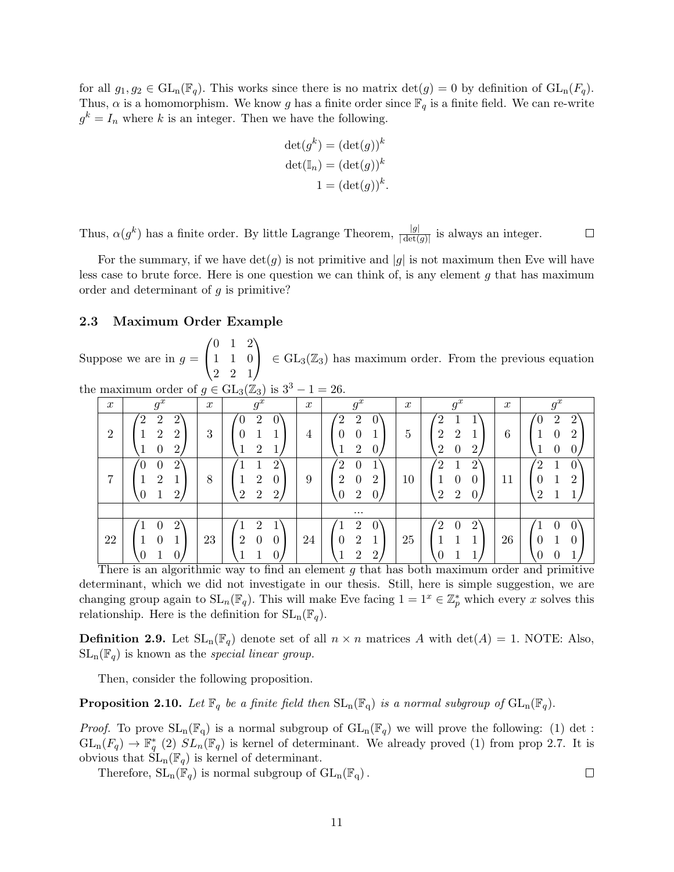for all  $g_1, g_2 \in GL_n(\mathbb{F}_q)$ . This works since there is no matrix  $\det(g) = 0$  by definition of  $GL_n(F_q)$ . Thus,  $\alpha$  is a homomorphism. We know g has a finite order since  $\mathbb{F}_q$  is a finite field. We can re-write  $g^k = I_n$  where k is an integer. Then we have the following.

$$
\det(g^k) = (\det(g))^k
$$

$$
\det(\mathbb{I}_n) = (\det(g))^k
$$

$$
1 = (\det(g))^k.
$$

Thus,  $\alpha(g^k)$  has a finite order. By little Lagrange Theorem,  $\frac{|g|}{|\det(g)|}$  is always an integer.  $\Box$ 

For the summary, if we have  $\det(q)$  is not primitive and |g| is not maximum then Eve will have less case to brute force. Here is one question we can think of, is any element  $q$  that has maximum order and determinant of  $g$  is primitive?

### 2.3 Maximum Order Example

Suppose we are in  $g =$  $\sqrt{ }$  $\mathcal{L}$ 0 1 2 1 1 0 2 2 1  $\setminus$  $\in GL_3(\mathbb{Z}_3)$  has maximum order. From the previous equation

| the maximum order of $g \in GL_3(\mathbb{Z}_3)$ is $3^3 - 1 = 26$ . |  |  |  |  |
|---------------------------------------------------------------------|--|--|--|--|

| $\boldsymbol{x}$ | $g^x$                                                                                                        | $\boldsymbol{x}$ | $g^x$                                                             | $\boldsymbol{x}$ | $g^x$                                                           | $\boldsymbol{x}$ | $g^x$                                        | $\boldsymbol{x}$ | $g^x$                         |
|------------------|--------------------------------------------------------------------------------------------------------------|------------------|-------------------------------------------------------------------|------------------|-----------------------------------------------------------------|------------------|----------------------------------------------|------------------|-------------------------------|
| $\overline{2}$   | $^{\prime}$ 2<br>$\overline{2}$<br>$\overline{2}$<br>$\overline{2}$<br>$\overline{2}$<br>$\overline{2}$<br>0 | 3                | $\overline{2}$<br>റ                                               | 4                | $\mathcal{L}$<br>$\overline{2}$<br>0<br>0<br>$\Omega$<br>O<br>∠ | 5                | റ<br>$\overline{2}$<br>ച<br>റ<br>റ<br>0<br>∠ | ◠<br>6           | $\overline{2}$<br>∠<br>റ<br>∠ |
| $\overline{7}$   | $\overline{2}$<br>0<br>$\overline{2}$<br>$\overline{2}$                                                      | 8                | 2<br>$\overline{2}$<br>U<br>$\overline{2}$<br>$\overline{2}$<br>റ | 9                | ′  າ<br>0<br>$\overline{2}$<br>റ<br>0<br>∠<br>റ<br>∠            | 10               | ำ<br>ച<br>0<br>0<br>$\overline{2}$<br>ച<br>0 | 11               | ົດ<br>റ<br>∠<br>റ             |
|                  |                                                                                                              |                  |                                                                   |                  | $\cdots$                                                        |                  |                                              |                  |                               |
| 22               | $\overline{2}$<br>0                                                                                          | 23               | $\mathcal{D}$<br>$\overline{2}$<br>0<br>U                         | 24               | $\overline{2}$<br>റ<br>0<br>$\overline{2}$<br>$\overline{2}$    | 25               | ച<br>റ<br>O                                  | 26               |                               |

There is an algorithmic way to find an element g that has both maximum order and primitive determinant, which we did not investigate in our thesis. Still, here is simple suggestion, we are changing group again to  $SL_n(\mathbb{F}_q)$ . This will make Eve facing  $1 = 1^x \in \mathbb{Z}_p^*$  which every x solves this relationship. Here is the definition for  $SL_n(\mathbb{F}_q)$ .

**Definition 2.9.** Let  $SL_n(\mathbb{F}_q)$  denote set of all  $n \times n$  matrices A with  $det(A) = 1$ . NOTE: Also,  $SL_n(\mathbb{F}_q)$  is known as the special linear group.

Then, consider the following proposition.

**Proposition 2.10.** Let  $\mathbb{F}_q$  be a finite field then  $SL_n(\mathbb{F}_q)$  is a normal subgroup of  $GL_n(\mathbb{F}_q)$ .

*Proof.* To prove  $SL_n(\mathbb{F}_q)$  is a normal subgroup of  $GL_n(\mathbb{F}_q)$  we will prove the following: (1) det :  $GL_n(F_q) \to \mathbb{F}_q^*$  (2)  $SL_n(\mathbb{F}_q)$  is kernel of determinant. We already proved (1) from prop 2.7. It is obvious that  $SL_n(\mathbb{F}_q)$  is kernel of determinant.

 $\Box$ 

Therefore,  $SL_n(\mathbb{F}_q)$  is normal subgroup of  $GL_n(\mathbb{F}_q)$ .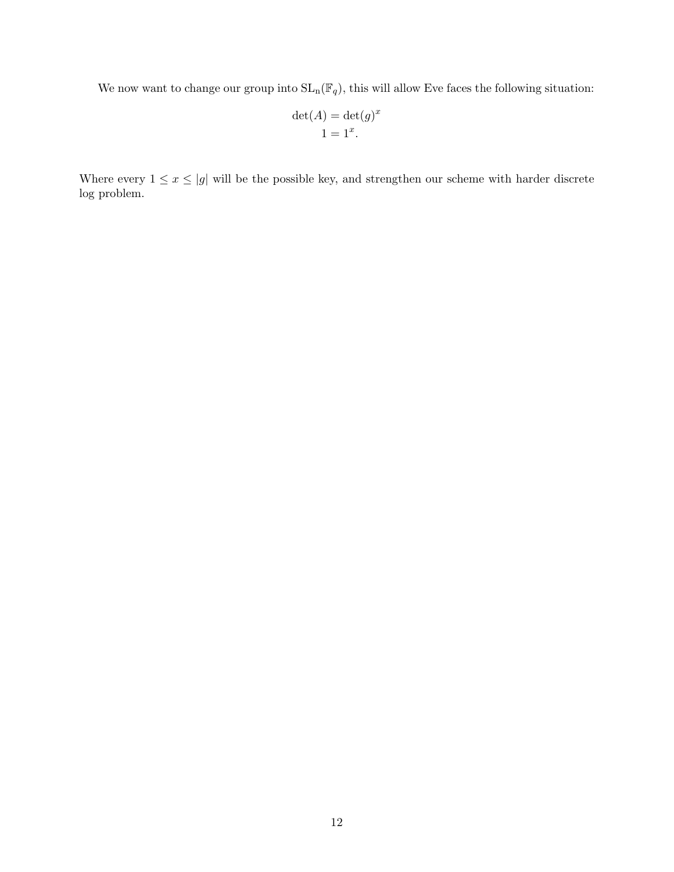We now want to change our group into  $SL_n(\mathbb{F}_q)$ , this will allow Eve faces the following situation:

$$
\det(A) = \det(g)^x
$$
  

$$
1 = 1^x.
$$

Where every  $1 \leq x \leq |g|$  will be the possible key, and strengthen our scheme with harder discrete log problem.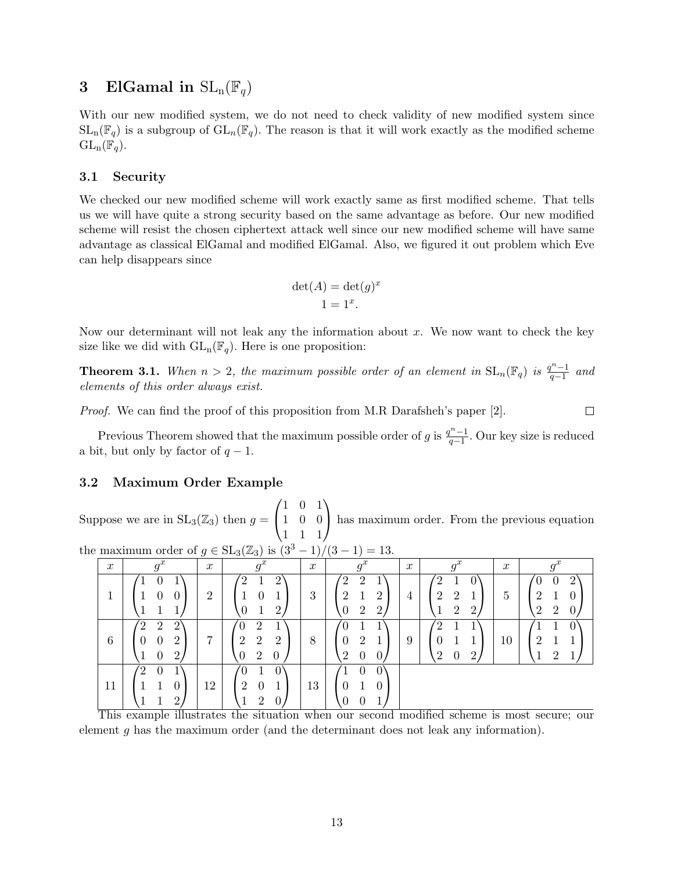### 3 ElGamal in  $SL_n(\mathbb{F}_q)$

With our new modified system, we do not need to check validity of new modified system since  $SL_n(\mathbb{F}_q)$  is a subgroup of  $GL_n(\mathbb{F}_q)$ . The reason is that it will work exactly as the modified scheme  $GL_n(\mathbb{F}_q).$ 

### 3.1 Security

We checked our new modified scheme will work exactly same as first modified scheme. That tells us we will have quite a strong security based on the same advantage as before. Our new modified scheme will resist the chosen ciphertext attack well since our new modified scheme will have same advantage as classical ElGamal and modified ElGamal. Also, we figured it out problem which Eve can help disappears since

$$
\det(A) = \det(g)^x
$$
  

$$
1 = 1^x.
$$

Now our determinant will not leak any the information about  $x$ . We now want to check the key size like we did with  $GL_n(\mathbb{F}_q)$ . Here is one proposition:

**Theorem 3.1.** When  $n > 2$ , the maximum possible order of an element in  $SL_n(\mathbb{F}_q)$  is  $\frac{q^{n}-1}{q-1}$  $\frac{q^{n}-1}{q-1}$  and elements of this order always exist.

Proof. We can find the proof of this proposition from M.R Darafsheh's paper [2].  $\Box$ 

Previous Theorem showed that the maximum possible order of g is  $\frac{q^{n}-1}{q-1}$  $\frac{q^{n}-1}{q-1}$ . Our key size is reduced a bit, but only by factor of  $q-1$ .

### 3.2 Maximum Order Example

Suppose we are in  $SL_3(\mathbb{Z}_3)$  then  $g =$  $\sqrt{ }$  $\mathcal{L}$ 1 0 1 1 0 0 1 1 1  $\setminus$ has maximum order. From the previous equation

|  | the maximum order of $g \in SL_3(\mathbb{Z}_3)$ is $(3^3 - 1)/(3 - 1) = 13$ . |  |  |  |  |  |  |  |  |  |  |  |
|--|-------------------------------------------------------------------------------|--|--|--|--|--|--|--|--|--|--|--|
|--|-------------------------------------------------------------------------------|--|--|--|--|--|--|--|--|--|--|--|

| $\boldsymbol{x}$ | $a^x$<br>.У                                                                               | $\boldsymbol{x}$ | $g^x$                                                                                           | $\boldsymbol{x}$ | $a^x$<br>.9                                                         | $\boldsymbol{x}$ | $g^x$                                                         | $\boldsymbol{x}$ | $g^x$                                           |
|------------------|-------------------------------------------------------------------------------------------|------------------|-------------------------------------------------------------------------------------------------|------------------|---------------------------------------------------------------------|------------------|---------------------------------------------------------------|------------------|-------------------------------------------------|
| T                | п                                                                                         | $\overline{2}$   | ′2<br>$\Omega$<br>0<br>റ                                                                        | 3                | $^{'}2$<br>$\overline{2}$<br>റ<br>റ<br>$\boldsymbol{2}$<br>റ        | 4                | ັດ<br>$\overline{2}$<br>$\overline{2}$<br>$\overline{2}$<br>റ | 5                | 0<br>0<br>റ<br>$\overline{2}$<br>$\overline{2}$ |
| 6                | $^{\prime}2$<br>$\overline{2}$<br>$\overline{2}$<br>$\overline{2}$<br>0<br>$\overline{2}$ | 7                | $\overline{2}$<br>U<br>2<br>$\overline{2}$<br>$\overline{2}$<br>$\overline{2}$<br>0<br>$\theta$ | 8                | $\overline{2}$<br>$\theta$<br>$\overline{2}$<br>$\overline{0}$<br>U | 9                | $\Omega$<br>U<br>$\boldsymbol{0}$<br>റ<br>റ                   | 10               | റ<br>റ                                          |
| 11<br>$-1$       | $^{\prime}2$<br>$\theta$<br>റ<br>$- - -$<br>$\sim$                                        | 12               | 0<br>$\overline{2}$<br>0<br>$\overline{2}$<br>$\mathbf{I}$<br>$\sim$<br>$\sim$<br>$\sim$        | 13<br>$\sim$     | $\overline{0}$<br>0<br>O<br>0<br>$\sim$                             |                  | $\overline{\phantom{a}}$<br>$\sim$ $\sim$<br>$\sim$           |                  |                                                 |

This example illustrates the situation when our second modified scheme is most secure; our element g has the maximum order (and the determinant does not leak any information).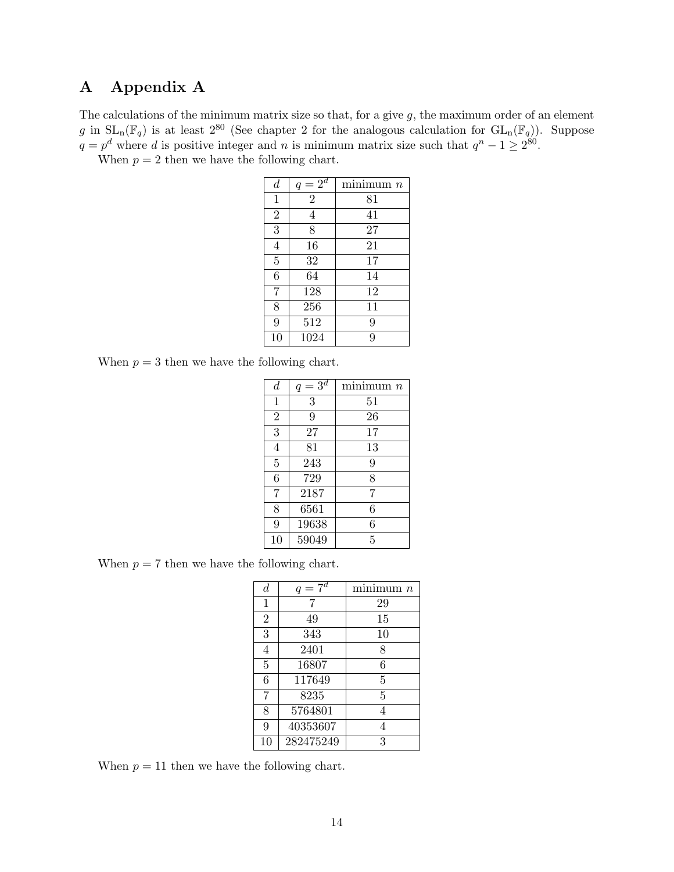## A Appendix A

The calculations of the minimum matrix size so that, for a give  $g$ , the maximum order of an element g in  $SL_n(\mathbb{F}_q)$  is at least  $2^{80}$  (See chapter 2 for the analogous calculation for  $GL_n(\mathbb{F}_q)$ ). Suppose  $q = p^d$  where d is positive integer and n is minimum matrix size such that  $q^n - 1 \geq 2^{80}$ .

When  $p = 2$  then we have the following chart.

| $\boldsymbol{d}$ | $q=2^d$        | minimum n |
|------------------|----------------|-----------|
| $\mathbf{1}$     | $\overline{2}$ | 81        |
| $\overline{2}$   | 4              | 41        |
| 3                | 8              | 27        |
| $\overline{4}$   | 16             | 21        |
| $\overline{5}$   | 32             | 17        |
| 6                | 64             | 14        |
| $\overline{7}$   | 128            | 12        |
| 8                | 256            | 11        |
| 9                | 512            | 9         |
| 10               | 1024           | 9         |

When  $p = 3$  then we have the following chart.

| $\boldsymbol{d}$ | $q=3^d$ | minimum n |
|------------------|---------|-----------|
| $\mathbf{1}$     | 3       | 51        |
| $\overline{2}$   | 9       | 26        |
| 3                | 27      | 17        |
| $\overline{4}$   | 81      | 13        |
| $\bf 5$          | 243     | 9         |
| 6                | 729     | 8         |
| 7                | 2187    | 7         |
| 8                | 6561    | 6         |
| 9                | 19638   | 6         |
| 10               | 59049   | 5         |

When  $p = 7$  then we have the following chart.

| d              | $q=7^d$   | minimum n |
|----------------|-----------|-----------|
| 1              | 7         | 29        |
| $\overline{2}$ | 49        | 15        |
| 3              | 343       | 10        |
| 4              | 2401      | 8         |
| 5              | 16807     | 6         |
| 6              | 117649    | 5         |
| 7              | 8235      | 5         |
| 8              | 5764801   | 4         |
| 9              | 40353607  | 4         |
| 10             | 282475249 | 3         |

When  $p = 11$  then we have the following chart.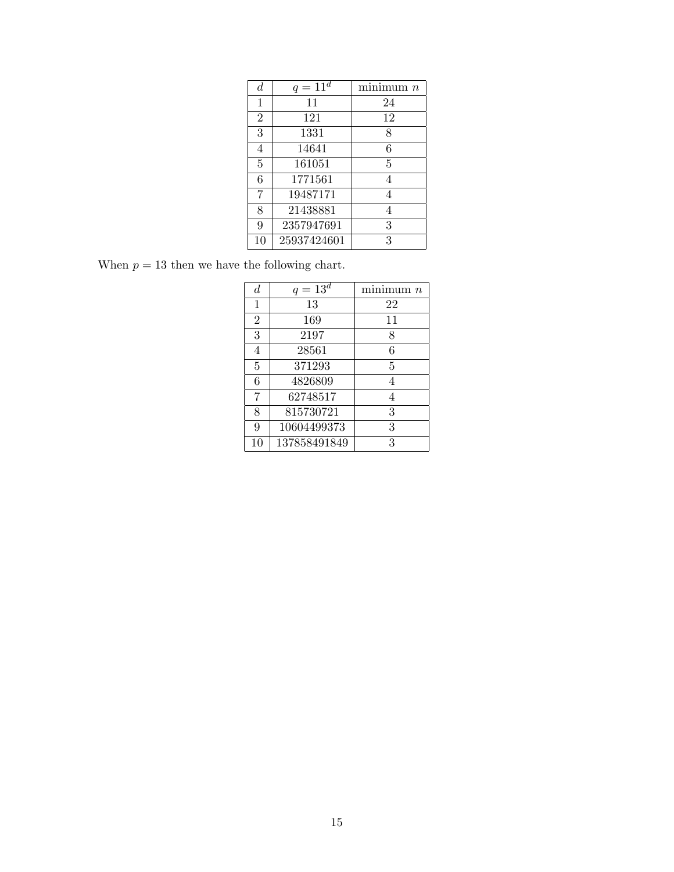| $\boldsymbol{d}$ | $q = 11^d$  | minimum $n$ |
|------------------|-------------|-------------|
| 1                | 11          | 24          |
| $\overline{2}$   | 121         | 12          |
| 3                | 1331        | 8           |
| 4                | 14641       | 6           |
| 5                | 161051      | 5           |
| 6                | 1771561     | 4           |
| 7                | 19487171    |             |
| 8                | 21438881    |             |
| 9                | 2357947691  | 3           |
| 10               | 25937424601 | 3           |

When  $p = 13$  then we have the following chart.

| $\boldsymbol{d}$ | $q = 13^d$   | minimum n |
|------------------|--------------|-----------|
| 1                | 13           | 22        |
| $\overline{2}$   | 169          | 11        |
| 3                | 2197         | 8         |
| 4                | 28561        | 6         |
| 5                | 371293       | 5         |
| 6                | 4826809      | 4         |
| 7                | 62748517     | 4         |
| 8                | 815730721    | 3         |
| 9                | 10604499373  | 3         |
| 10               | 137858491849 | 3         |